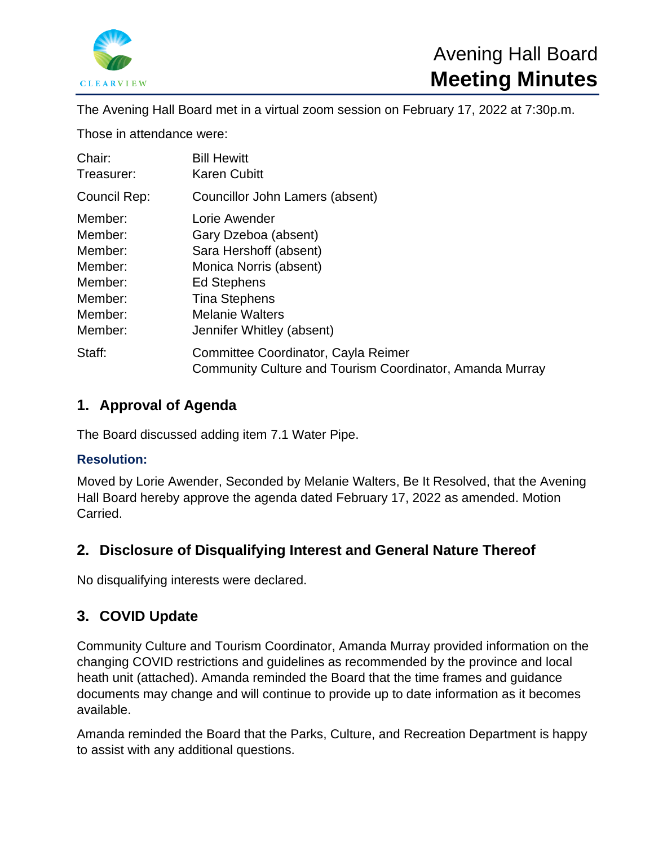

The Avening Hall Board met in a virtual zoom session on February 17, 2022 at 7:30p.m.

Those in attendance were:

| Chair:       | <b>Bill Hewitt</b>                                                                                     |
|--------------|--------------------------------------------------------------------------------------------------------|
| Treasurer:   | <b>Karen Cubitt</b>                                                                                    |
| Council Rep: | Councillor John Lamers (absent)                                                                        |
| Member:      | Lorie Awender                                                                                          |
| Member:      | Gary Dzeboa (absent)                                                                                   |
| Member:      | Sara Hershoff (absent)                                                                                 |
| Member:      | Monica Norris (absent)                                                                                 |
| Member:      | <b>Ed Stephens</b>                                                                                     |
| Member:      | <b>Tina Stephens</b>                                                                                   |
| Member:      | <b>Melanie Walters</b>                                                                                 |
| Member:      | Jennifer Whitley (absent)                                                                              |
| Staff:       | Committee Coordinator, Cayla Reimer<br><b>Community Culture and Tourism Coordinator, Amanda Murray</b> |

## **1. Approval of Agenda**

The Board discussed adding item 7.1 Water Pipe.

### **Resolution:**

Moved by Lorie Awender, Seconded by Melanie Walters, Be It Resolved, that the Avening Hall Board hereby approve the agenda dated February 17, 2022 as amended. Motion Carried.

# **2. Disclosure of Disqualifying Interest and General Nature Thereof**

No disqualifying interests were declared.

# **3. COVID Update**

Community Culture and Tourism Coordinator, Amanda Murray provided information on the changing COVID restrictions and guidelines as recommended by the province and local heath unit (attached). Amanda reminded the Board that the time frames and guidance documents may change and will continue to provide up to date information as it becomes available.

Amanda reminded the Board that the Parks, Culture, and Recreation Department is happy to assist with any additional questions.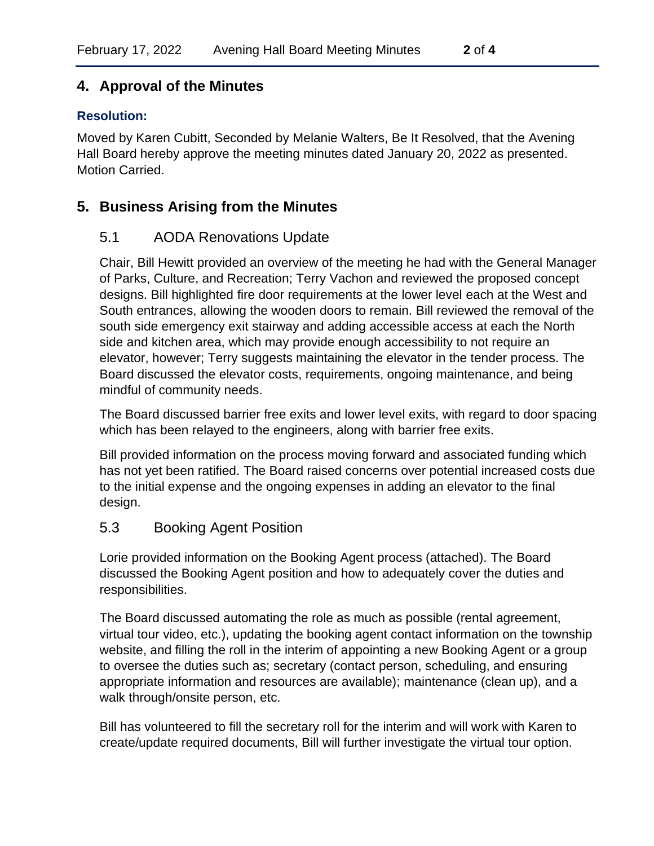# **4. Approval of the Minutes**

## **Resolution:**

Moved by Karen Cubitt, Seconded by Melanie Walters, Be It Resolved, that the Avening Hall Board hereby approve the meeting minutes dated January 20, 2022 as presented. Motion Carried.

## **5. Business Arising from the Minutes**

### 5.1 AODA Renovations Update

Chair, Bill Hewitt provided an overview of the meeting he had with the General Manager of Parks, Culture, and Recreation; Terry Vachon and reviewed the proposed concept designs. Bill highlighted fire door requirements at the lower level each at the West and South entrances, allowing the wooden doors to remain. Bill reviewed the removal of the south side emergency exit stairway and adding accessible access at each the North side and kitchen area, which may provide enough accessibility to not require an elevator, however; Terry suggests maintaining the elevator in the tender process. The Board discussed the elevator costs, requirements, ongoing maintenance, and being mindful of community needs.

The Board discussed barrier free exits and lower level exits, with regard to door spacing which has been relayed to the engineers, along with barrier free exits.

Bill provided information on the process moving forward and associated funding which has not yet been ratified. The Board raised concerns over potential increased costs due to the initial expense and the ongoing expenses in adding an elevator to the final design.

### 5.3 Booking Agent Position

Lorie provided information on the Booking Agent process (attached). The Board discussed the Booking Agent position and how to adequately cover the duties and responsibilities.

The Board discussed automating the role as much as possible (rental agreement, virtual tour video, etc.), updating the booking agent contact information on the township website, and filling the roll in the interim of appointing a new Booking Agent or a group to oversee the duties such as; secretary (contact person, scheduling, and ensuring appropriate information and resources are available); maintenance (clean up), and a walk through/onsite person, etc.

Bill has volunteered to fill the secretary roll for the interim and will work with Karen to create/update required documents, Bill will further investigate the virtual tour option.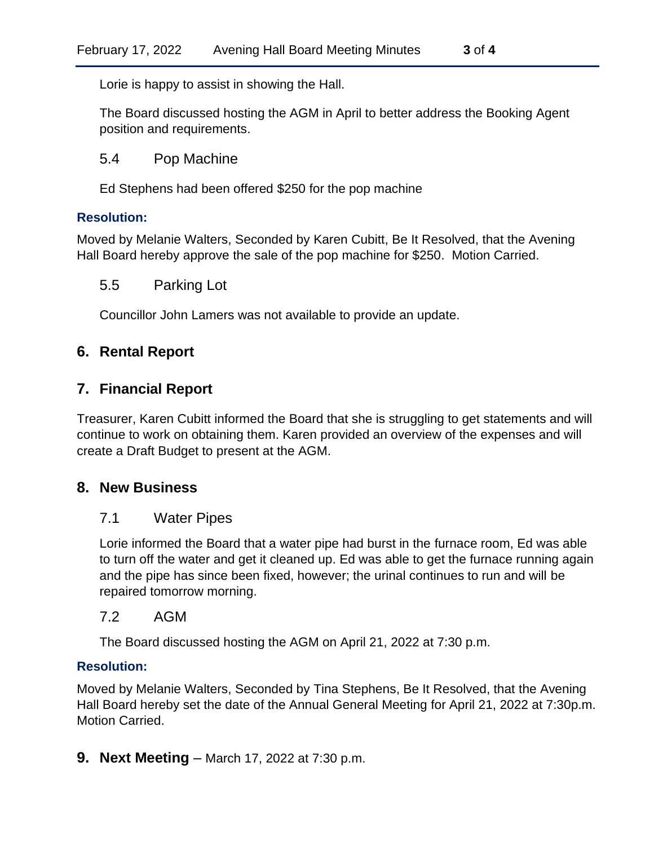Lorie is happy to assist in showing the Hall.

The Board discussed hosting the AGM in April to better address the Booking Agent position and requirements.

### 5.4 Pop Machine

Ed Stephens had been offered \$250 for the pop machine

#### **Resolution:**

Moved by Melanie Walters, Seconded by Karen Cubitt, Be It Resolved, that the Avening Hall Board hereby approve the sale of the pop machine for \$250. Motion Carried.

#### 5.5 Parking Lot

Councillor John Lamers was not available to provide an update.

### **6. Rental Report**

### **7. Financial Report**

Treasurer, Karen Cubitt informed the Board that she is struggling to get statements and will continue to work on obtaining them. Karen provided an overview of the expenses and will create a Draft Budget to present at the AGM.

### **8. New Business**

### 7.1 Water Pipes

Lorie informed the Board that a water pipe had burst in the furnace room, Ed was able to turn off the water and get it cleaned up. Ed was able to get the furnace running again and the pipe has since been fixed, however; the urinal continues to run and will be repaired tomorrow morning.

#### 7.2 AGM

The Board discussed hosting the AGM on April 21, 2022 at 7:30 p.m.

#### **Resolution:**

Moved by Melanie Walters, Seconded by Tina Stephens, Be It Resolved, that the Avening Hall Board hereby set the date of the Annual General Meeting for April 21, 2022 at 7:30p.m. Motion Carried.

**9. Next Meeting** – March 17, 2022 at 7:30 p.m.